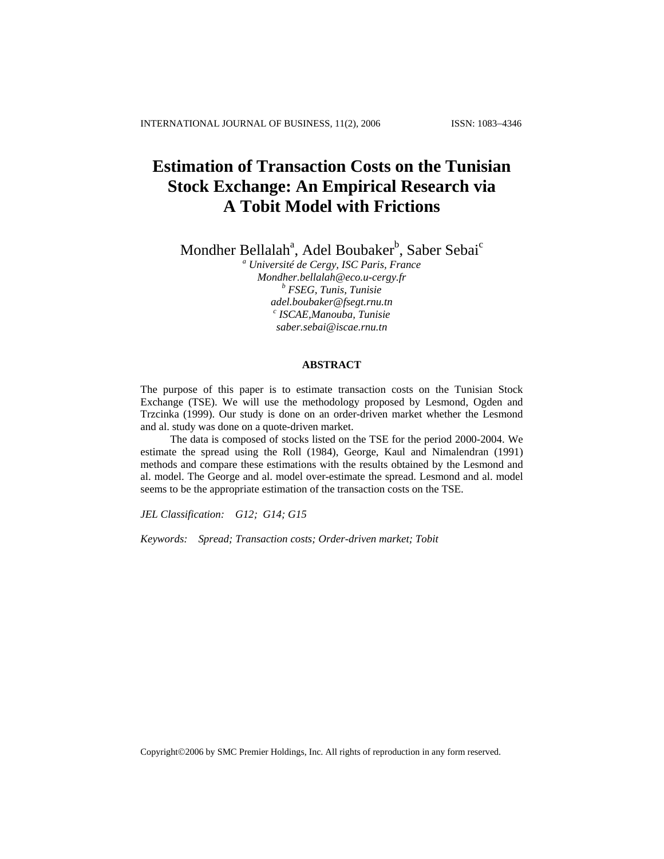# **Estimation of Transaction Costs on the Tunisian Stock Exchange: An Empirical Research via A Tobit Model with Frictions**

Mondher Bellalah<sup>a</sup>, Adel Boubaker<sup>b</sup>, Saber Sebai<sup>c</sup>

*a Université de Cergy, ISC Paris, France [Mondher.bellalah@eco.u-cergy.fr](mailto:Mondher.bellalah@eco.u-cergy.fr) <sup>b</sup> FSEG, Tunis, Tunisie [adel.boubaker@fsegt.rnu.tn](mailto:adel.boubaker@fsegt.rnu.tn) <sup>c</sup> ISCAE,Manouba, Tunisie [saber.sebai@iscae.rnu.tn](mailto:saber.sebai@iscae.rnu.tn)*

#### **ABSTRACT**

The purpose of this paper is to estimate transaction costs on the Tunisian Stock Exchange (TSE). We will use the methodology proposed by Lesmond, Ogden and Trzcinka (1999). Our study is done on an order-driven market whether the Lesmond and al. study was done on a quote-driven market.

The data is composed of stocks listed on the TSE for the period 2000-2004. We estimate the spread using the Roll (1984), George, Kaul and Nimalendran (1991) methods and compare these estimations with the results obtained by the Lesmond and al. model. The George and al. model over-estimate the spread. Lesmond and al. model seems to be the appropriate estimation of the transaction costs on the TSE.

*JEL Classification: G12; G14; G15*

*Keywords: Spread; Transaction costs; Order-driven market; Tobit*

Copyright©2006 by SMC Premier Holdings, Inc. All rights of reproduction in any form reserved.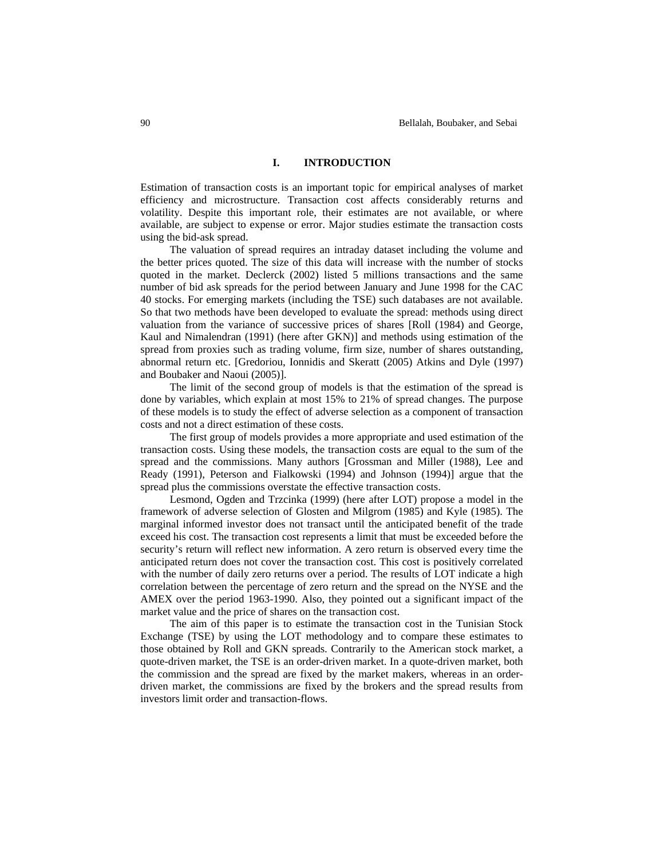#### **I. INTRODUCTION**

Estimation of transaction costs is an important topic for empirical analyses of market efficiency and microstructure. Transaction cost affects considerably returns and volatility. Despite this important role, their estimates are not available, or where available, are subject to expense or error. Major studies estimate the transaction costs using the bid-ask spread.

The valuation of spread requires an intraday dataset including the volume and the better prices quoted. The size of this data will increase with the number of stocks quoted in the market. Declerck (2002) listed 5 millions transactions and the same number of bid ask spreads for the period between January and June 1998 for the CAC 40 stocks. For emerging markets (including the TSE) such databases are not available. So that two methods have been developed to evaluate the spread: methods using direct valuation from the variance of successive prices of shares [Roll (1984) and George, Kaul and Nimalendran (1991) (here after GKN)] and methods using estimation of the spread from proxies such as trading volume, firm size, number of shares outstanding, abnormal return etc. [Gredoriou, Ionnidis and Skeratt (2005) Atkins and Dyle (1997) and Boubaker and Naoui (2005)].

The limit of the second group of models is that the estimation of the spread is done by variables, which explain at most 15% to 21% of spread changes. The purpose of these models is to study the effect of adverse selection as a component of transaction costs and not a direct estimation of these costs.

The first group of models provides a more appropriate and used estimation of the transaction costs. Using these models, the transaction costs are equal to the sum of the spread and the commissions. Many authors [Grossman and Miller (1988), Lee and Ready (1991), Peterson and Fialkowski (1994) and Johnson (1994)] argue that the spread plus the commissions overstate the effective transaction costs.

Lesmond, Ogden and Trzcinka (1999) (here after LOT) propose a model in the framework of adverse selection of Glosten and Milgrom (1985) and Kyle (1985). The marginal informed investor does not transact until the anticipated benefit of the trade exceed his cost. The transaction cost represents a limit that must be exceeded before the security's return will reflect new information. A zero return is observed every time the anticipated return does not cover the transaction cost. This cost is positively correlated with the number of daily zero returns over a period. The results of LOT indicate a high correlation between the percentage of zero return and the spread on the NYSE and the AMEX over the period 1963-1990. Also, they pointed out a significant impact of the market value and the price of shares on the transaction cost.

The aim of this paper is to estimate the transaction cost in the Tunisian Stock Exchange (TSE) by using the LOT methodology and to compare these estimates to those obtained by Roll and GKN spreads. Contrarily to the American stock market, a quote-driven market, the TSE is an order-driven market. In a quote-driven market, both the commission and the spread are fixed by the market makers, whereas in an orderdriven market, the commissions are fixed by the brokers and the spread results from investors limit order and transaction-flows.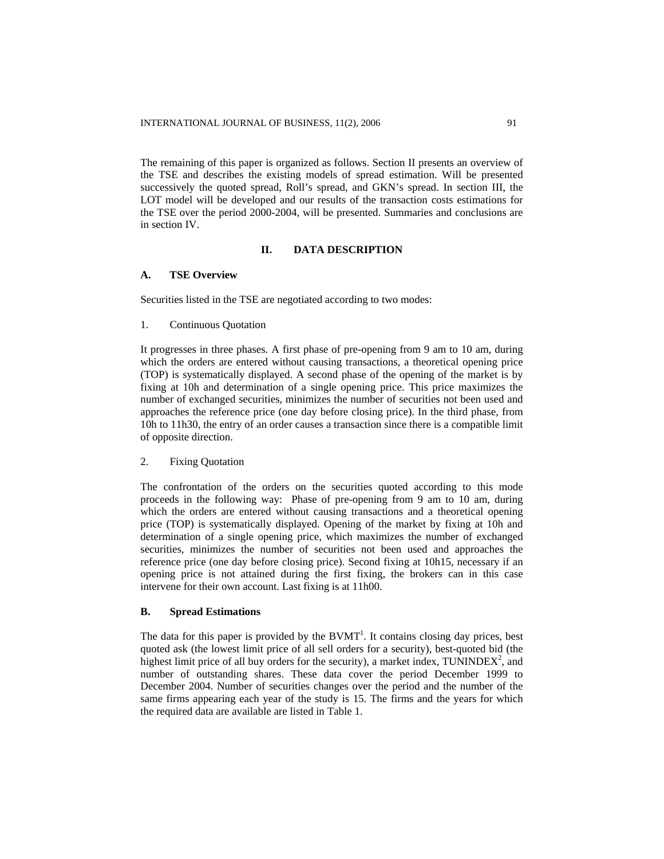The remaining of this paper is organized as follows. Section II presents an overview of the TSE and describes the existing models of spread estimation. Will be presented successively the quoted spread, Roll's spread, and GKN's spread. In section III, the LOT model will be developed and our results of the transaction costs estimations for the TSE over the period 2000-2004, will be presented. Summaries and conclusions are in section IV.

#### **II. DATA DESCRIPTION**

#### **A. TSE Overview**

Securities listed in the TSE are negotiated according to two modes:

1. Continuous Quotation

It progresses in three phases. A first phase of pre-opening from 9 am to 10 am, during which the orders are entered without causing transactions, a theoretical opening price (TOP) is systematically displayed. A second phase of the opening of the market is by fixing at 10h and determination of a single opening price. This price maximizes the number of exchanged securities, minimizes the number of securities not been used and approaches the reference price (one day before closing price). In the third phase, from 10h to 11h30, the entry of an order causes a transaction since there is a compatible limit of opposite direction.

#### 2. Fixing Quotation

The confrontation of the orders on the securities quoted according to this mode proceeds in the following way: Phase of pre-opening from 9 am to 10 am, during which the orders are entered without causing transactions and a theoretical opening price (TOP) is systematically displayed. Opening of the market by fixing at 10h and determination of a single opening price, which maximizes the number of exchanged securities, minimizes the number of securities not been used and approaches the reference price (one day before closing price). Second fixing at 10h15, necessary if an opening price is not attained during the first fixing, the brokers can in this case intervene for their own account. Last fixing is at 11h00.

#### **B. Spread Estimations**

The data for this paper is provided by the  $BVMT<sup>1</sup>$ . It contains closing day prices, best quoted ask (the lowest limit price of all sell orders for a security), best-quoted bid (the highest limit price of all buy orders for the security), a market index, TUNINDEX<sup>2</sup>, and number of outstanding shares. These data cover the period December 1999 to December 2004. Number of securities changes over the period and the number of the same firms appearing each year of the study is 15. The firms and the years for which the required data are available are listed in Table 1.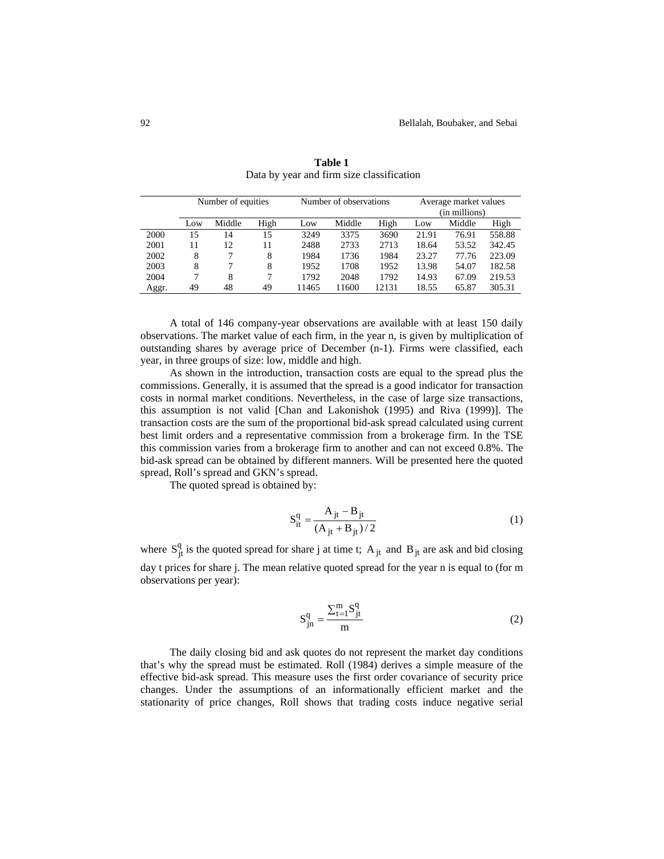|       | Number of equities |        |      |       | Number of observations |       |       | Average market values |        |  |
|-------|--------------------|--------|------|-------|------------------------|-------|-------|-----------------------|--------|--|
|       |                    |        |      |       |                        |       |       | (in millions)         |        |  |
|       | Low                | Middle | High | Low   | Middle                 | High  | Low   | Middle                | High   |  |
| 2000  | 15                 | 14     | 15   | 3249  | 3375                   | 3690  | 21.91 | 76.91                 | 558.88 |  |
| 2001  | 11                 | 12     | 11   | 2488  | 2733                   | 2713  | 18.64 | 53.52                 | 342.45 |  |
| 2002  | 8                  |        | 8    | 1984  | 1736                   | 1984  | 23.27 | 77.76                 | 223.09 |  |
| 2003  | 8                  |        | 8    | 1952  | 1708                   | 1952  | 13.98 | 54.07                 | 182.58 |  |
| 2004  |                    | 8      |      | 1792  | 2048                   | 1792  | 14.93 | 67.09                 | 219.53 |  |
| Aggr. | 49                 | 48     | 49   | 11465 | 11600                  | 12131 | 18.55 | 65.87                 | 305.31 |  |

**Table 1** Data by year and firm size classification

A total of 146 company-year observations are available with at least 150 daily observations. The market value of each firm, in the year n, is given by multiplication of outstanding shares by average price of December (n-1). Firms were classified, each year, in three groups of size: low, middle and high.

As shown in the introduction, transaction costs are equal to the spread plus the commissions. Generally, it is assumed that the spread is a good indicator for transaction costs in normal market conditions. Nevertheless, in the case of large size transactions, this assumption is not valid [Chan and Lakonishok (1995) and Riva (1999)]. The transaction costs are the sum of the proportional bid-ask spread calculated using current best limit orders and a representative commission from a brokerage firm. In the TSE this commission varies from a brokerage firm to another and can not exceed 0.8%. The bid-ask spread can be obtained by different manners. Will be presented here the quoted spread, Roll's spread and GKN's spread.

The quoted spread is obtained by:

$$
S_{it}^{q} = \frac{A_{jt} - B_{jt}}{(A_{jt} + B_{jt})/2}
$$
 (1)

where  $S_{jt}^q$  is the quoted spread for share j at time t;  $A_{jt}$  and  $B_{jt}$  are ask and bid closing day t prices for share j. The mean relative quoted spread for the year n is equal to (for m observations per year):

$$
S_{jn}^{q} = \frac{\sum_{t=1}^{m} S_{jt}^{q}}{m}
$$
 (2)

The daily closing bid and ask quotes do not represent the market day conditions that's why the spread must be estimated. Roll (1984) derives a simple measure of the effective bid-ask spread. This measure uses the first order covariance of security price changes. Under the assumptions of an informationally efficient market and the stationarity of price changes, Roll shows that trading costs induce negative serial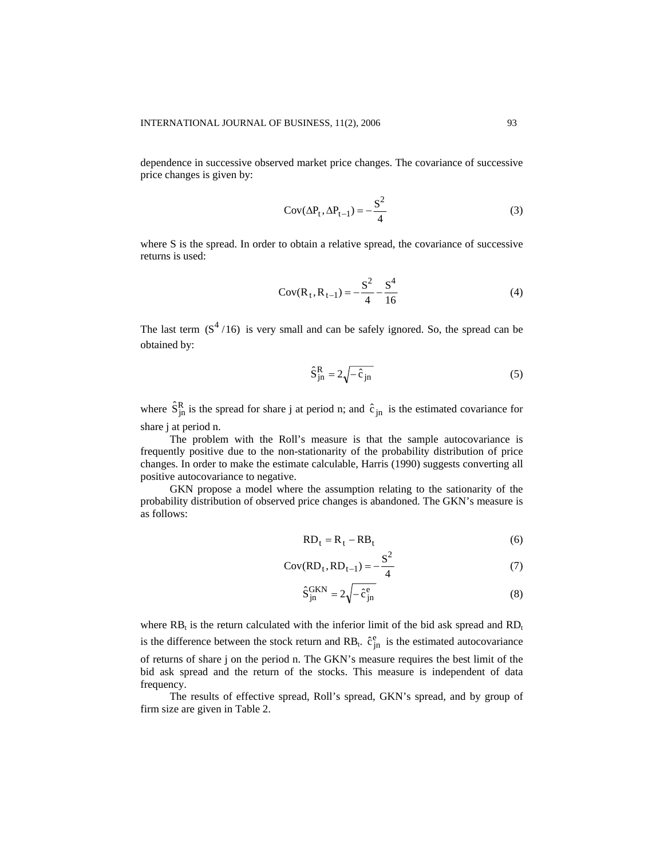dependence in successive observed market price changes. The covariance of successive price changes is given by:

$$
Cov(\Delta P_t, \Delta P_{t-1}) = -\frac{S^2}{4}
$$
 (3)

where S is the spread. In order to obtain a relative spread, the covariance of successive returns is used:

$$
Cov(R_t, R_{t-1}) = -\frac{S^2}{4} - \frac{S^4}{16}
$$
 (4)

The last term  $(S^4/16)$  is very small and can be safely ignored. So, the spread can be obtained by:

$$
\hat{S}_{jn}^{R} = 2\sqrt{-\hat{c}_{jn}}\tag{5}
$$

where  $\hat{S}_{jn}^R$  is the spread for share j at period n; and  $\hat{c}_{jn}$  is the estimated covariance for share j at period n.

The problem with the Roll's measure is that the sample autocovariance is frequently positive due to the non-stationarity of the probability distribution of price changes. In order to make the estimate calculable, Harris (1990) suggests converting all positive autocovariance to negative.

GKN propose a model where the assumption relating to the sationarity of the probability distribution of observed price changes is abandoned. The GKN's measure is as follows:

$$
RD_t = R_t - RB_t \tag{6}
$$

$$
Cov(RD_t, RD_{t-1}) = -\frac{S^2}{4}
$$
 (7)

 $\overline{2}$ 

$$
\hat{S}_{jn}^{GKN} = 2\sqrt{-\hat{c}_{jn}^{e}}
$$
 (8)

where  $RB_t$  is the return calculated with the inferior limit of the bid ask spread and  $RD_t$ is the difference between the stock return and RB<sub>t</sub>.  $\hat{c}_{jn}^e$  is the estimated autocovariance of returns of share j on the period n. The GKN's measure requires the best limit of the bid ask spread and the return of the stocks. This measure is independent of data frequency.

The results of effective spread, Roll's spread, GKN's spread, and by group of firm size are given in Table 2.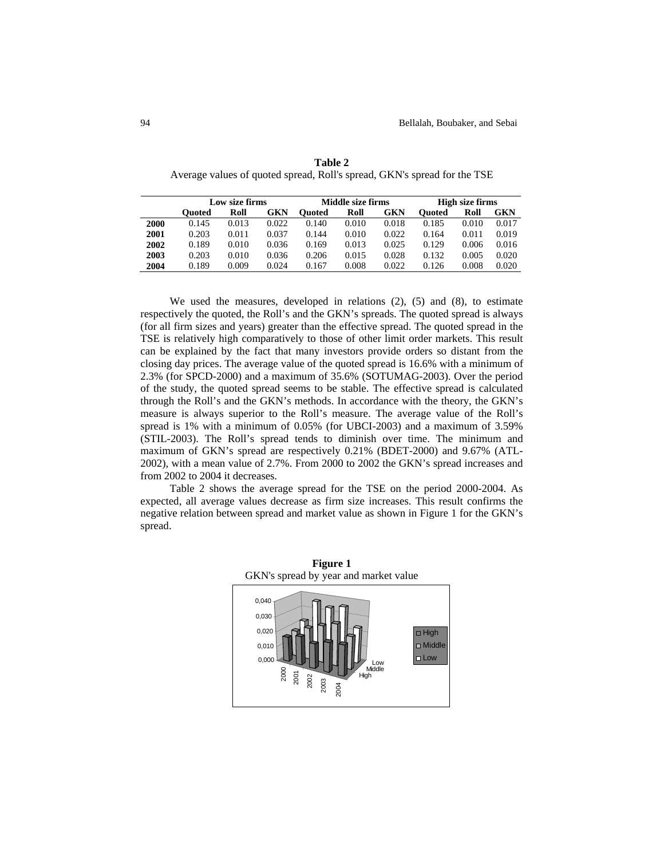|      | Low size firms |       |       |        | Middle size firms |       |               | High size firms |       |  |
|------|----------------|-------|-------|--------|-------------------|-------|---------------|-----------------|-------|--|
|      | <b>Ouoted</b>  | Roll  | GKN   | Ouoted | Roll              | GKN   | <b>Ouoted</b> | Roll            | GKN   |  |
| 2000 | 0.145          | 0.013 | 0.022 | 0.140  | 0.010             | 0.018 | 0.185         | 0.010           | 0.017 |  |
| 2001 | 0.203          | 0.011 | 0.037 | 0.144  | 0.010             | 0.022 | 0.164         | 0.011           | 0.019 |  |
| 2002 | 0.189          | 0.010 | 0.036 | 0.169  | 0.013             | 0.025 | 0.129         | 0.006           | 0.016 |  |
| 2003 | 0.203          | 0.010 | 0.036 | 0.206  | 0.015             | 0.028 | 0.132         | 0.005           | 0.020 |  |
| 2004 | 0.189          | 0.009 | 0.024 | 0.167  | 0.008             | 0.022 | 0.126         | 0.008           | 0.020 |  |
|      |                |       |       |        |                   |       |               |                 |       |  |

**Table 2** Average values of quoted spread, Roll's spread, GKN's spread for the TSE

We used the measures, developed in relations (2), (5) and (8), to estimate respectively the quoted, the Roll's and the GKN's spreads. The quoted spread is always (for all firm sizes and years) greater than the effective spread. The quoted spread in the TSE is relatively high comparatively to those of other limit order markets. This result can be explained by the fact that many investors provide orders so distant from the closing day prices. The average value of the quoted spread is 16.6% with a minimum of 2.3% (for SPCD-2000) and a maximum of 35.6% (SOTUMAG-2003). Over the period of the study, the quoted spread seems to be stable. The effective spread is calculated through the Roll's and the GKN's methods. In accordance with the theory, the GKN's measure is always superior to the Roll's measure. The average value of the Roll's spread is 1% with a minimum of 0.05% (for UBCI-2003) and a maximum of 3.59% (STIL-2003). The Roll's spread tends to diminish over time. The minimum and maximum of GKN's spread are respectively 0.21% (BDET-2000) and 9.67% (ATL-2002), with a mean value of 2.7%. From 2000 to 2002 the GKN's spread increases and from 2002 to 2004 it decreases.

Table 2 shows the average spread for the TSE on the period 2000-2004. As expected, all average values decrease as firm size increases. This result confirms the negative relation between spread and market value as shown in Figure 1 for the GKN's spread.

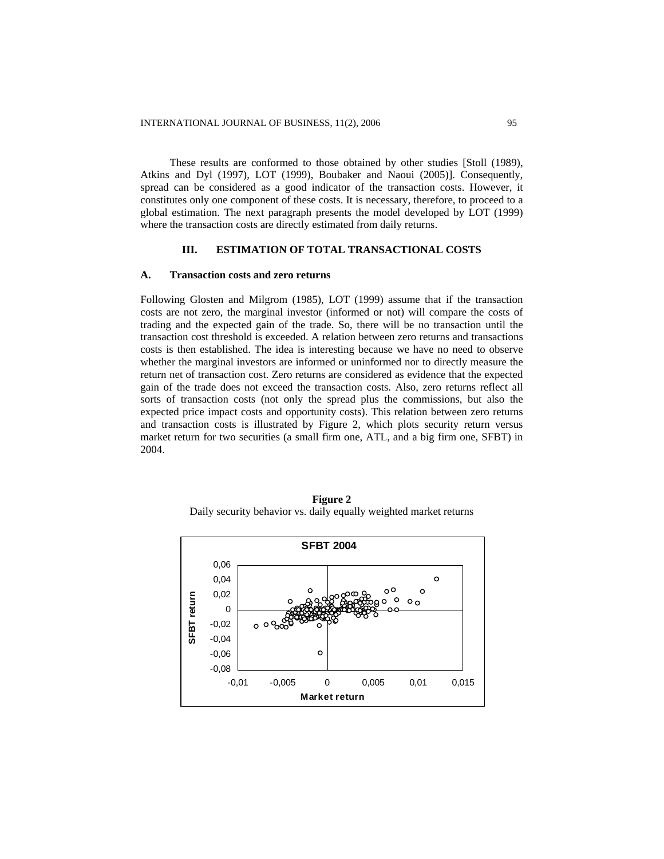These results are conformed to those obtained by other studies [Stoll (1989), Atkins and Dyl (1997), LOT (1999), Boubaker and Naoui (2005)]. Consequently, spread can be considered as a good indicator of the transaction costs. However, it constitutes only one component of these costs. It is necessary, therefore, to proceed to a global estimation. The next paragraph presents the model developed by LOT (1999) where the transaction costs are directly estimated from daily returns.

#### **III. ESTIMATION OF TOTAL TRANSACTIONAL COSTS**

#### **A. Transaction costs and zero returns**

Following Glosten and Milgrom (1985), LOT (1999) assume that if the transaction costs are not zero, the marginal investor (informed or not) will compare the costs of trading and the expected gain of the trade. So, there will be no transaction until the transaction cost threshold is exceeded. A relation between zero returns and transactions costs is then established. The idea is interesting because we have no need to observe whether the marginal investors are informed or uninformed nor to directly measure the return net of transaction cost. Zero returns are considered as evidence that the expected gain of the trade does not exceed the transaction costs. Also, zero returns reflect all sorts of transaction costs (not only the spread plus the commissions, but also the expected price impact costs and opportunity costs). This relation between zero returns and transaction costs is illustrated by Figure 2, which plots security return versus market return for two securities (a small firm one, ATL, and a big firm one, SFBT) in 2004.



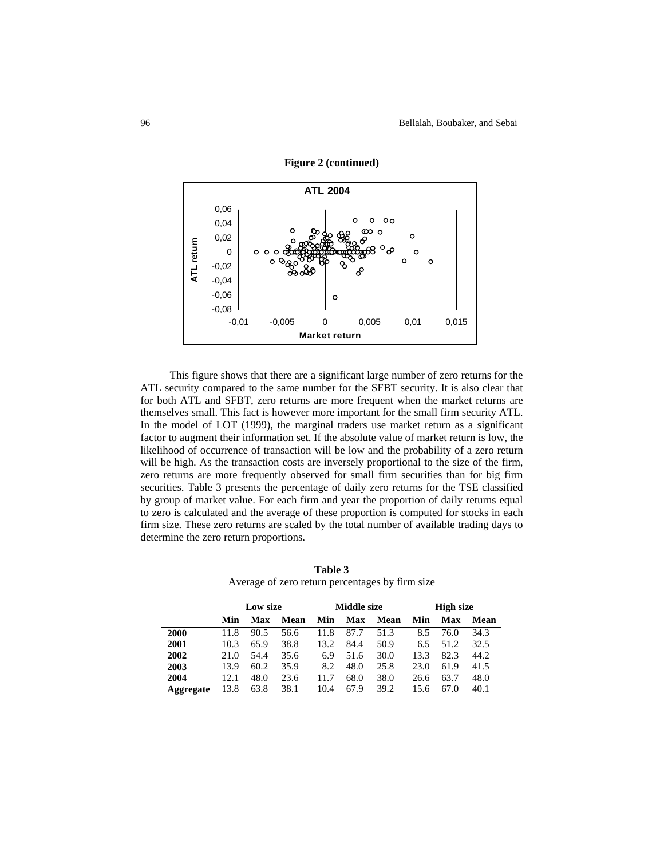

**Figure 2 (continued)** 

This figure shows that there are a significant large number of zero returns for the ATL security compared to the same number for the SFBT security. It is also clear that for both ATL and SFBT, zero returns are more frequent when the market returns are themselves small. This fact is however more important for the small firm security ATL. In the model of LOT (1999), the marginal traders use market return as a significant factor to augment their information set. If the absolute value of market return is low, the likelihood of occurrence of transaction will be low and the probability of a zero return will be high. As the transaction costs are inversely proportional to the size of the firm, zero returns are more frequently observed for small firm securities than for big firm securities. Table 3 presents the percentage of daily zero returns for the TSE classified by group of market value. For each firm and year the proportion of daily returns equal to zero is calculated and the average of these proportion is computed for stocks in each firm size. These zero returns are scaled by the total number of available trading days to determine the zero return proportions.

|           | Low size |      |      |      | Middle size |      |      | <b>High size</b> |      |  |
|-----------|----------|------|------|------|-------------|------|------|------------------|------|--|
|           | Min      | Max  | Mean | Min  | Max         | Mean | Min  | <b>Max</b>       | Mean |  |
| 2000      | 11.8     | 90.5 | 56.6 | 11.8 | 87.7        | 51.3 | 8.5  | 76.0             | 34.3 |  |
| 2001      | 10.3     | 65.9 | 38.8 | 13.2 | 84.4        | 50.9 | 6.5  | 51.2             | 32.5 |  |
| 2002      | 21.0     | 54.4 | 35.6 | 6.9  | 51.6        | 30.0 | 13.3 | 82.3             | 44.2 |  |
| 2003      | 13.9     | 60.2 | 35.9 | 8.2  | 48.0        | 25.8 | 23.0 | 61.9             | 41.5 |  |
| 2004      | 12.1     | 48.0 | 23.6 | 11.7 | 68.0        | 38.0 | 26.6 | 63.7             | 48.0 |  |
| Aggregate | 13.8     | 63.8 | 38.1 | 10.4 | 67.9        | 39.2 | 15.6 | 67.0             | 40.1 |  |

**Table 3** Average of zero return percentages by firm size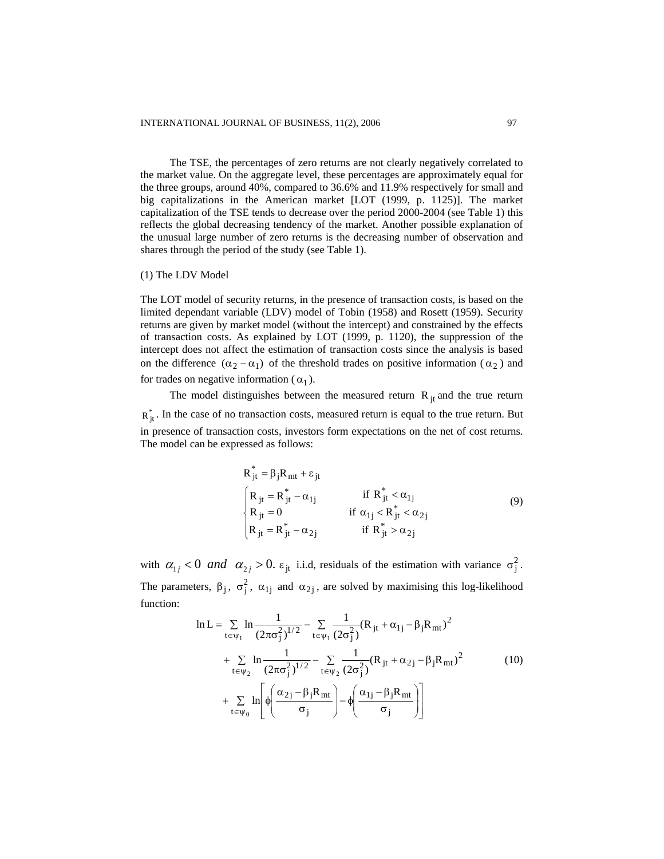The TSE, the percentages of zero returns are not clearly negatively correlated to the market value. On the aggregate level, these percentages are approximately equal for the three groups, around 40%, compared to 36.6% and 11.9% respectively for small and big capitalizations in the American market [LOT (1999, p. 1125)]. The market capitalization of the TSE tends to decrease over the period 2000-2004 (see Table 1) this reflects the global decreasing tendency of the market. Another possible explanation of the unusual large number of zero returns is the decreasing number of observation and shares through the period of the study (see Table 1).

#### (1) The LDV Model

The LOT model of security returns, in the presence of transaction costs, is based on the limited dependant variable (LDV) model of Tobin (1958) and Rosett (1959). Security returns are given by market model (without the intercept) and constrained by the effects of transaction costs. As explained by LOT (1999, p. 1120), the suppression of the intercept does not affect the estimation of transaction costs since the analysis is based on the difference  $(\alpha_2 - \alpha_1)$  of the threshold trades on positive information ( $\alpha_2$ ) and for trades on negative information ( $\alpha_1$ ).

The model distinguishes between the measured return  $R_{jt}$  and the true return  $R_{jl}^*$ . In the case of no transaction costs, measured return is equal to the true return. But in presence of transaction costs, investors form expectations on the net of cost returns. The model can be expressed as follows:

$$
R_{jt}^* = \beta_j R_{mt} + \varepsilon_{jt}
$$
  
\n
$$
\begin{cases}\nR_{jt} = R_{jt}^* - \alpha_{1j} & \text{if } R_{jt}^* < \alpha_{1j} \\
R_{jt} = 0 & \text{if } \alpha_{1j} < R_{jt}^* < \alpha_{2j} \\
R_{jt} = R_{jt}^* - \alpha_{2j} & \text{if } R_{jt}^* > \alpha_{2j}\n\end{cases}
$$
\n(9)

with  $\alpha_{1j} < 0$  and  $\alpha_{2j} > 0$ .  $\varepsilon_{jt}$  i.i.d, residuals of the estimation with variance  $\sigma_j^2$ . The parameters,  $\beta_j$ ,  $\sigma_j^2$ ,  $\alpha_{1j}$  and  $\alpha_{2j}$ , are solved by maximising this log-likelihood function:

$$
\ln L = \sum_{t \in \psi_1} \ln \frac{1}{(2\pi\sigma_j^2)^{1/2}} - \sum_{t \in \psi_1} \frac{1}{(2\sigma_j^2)} (R_{jt} + \alpha_{1j} - \beta_j R_{mt})^2 + \sum_{t \in \psi_2} \ln \frac{1}{(2\pi\sigma_j^2)^{1/2}} - \sum_{t \in \psi_2} \frac{1}{(2\sigma_j^2)} (R_{jt} + \alpha_{2j} - \beta_j R_{mt})^2 + \sum_{t \in \psi_0} \ln \left[ \phi \left( \frac{\alpha_{2j} - \beta_j R_{mt}}{\sigma_j} \right) - \phi \left( \frac{\alpha_{1j} - \beta_j R_{mt}}{\sigma_j} \right) \right]
$$
(10)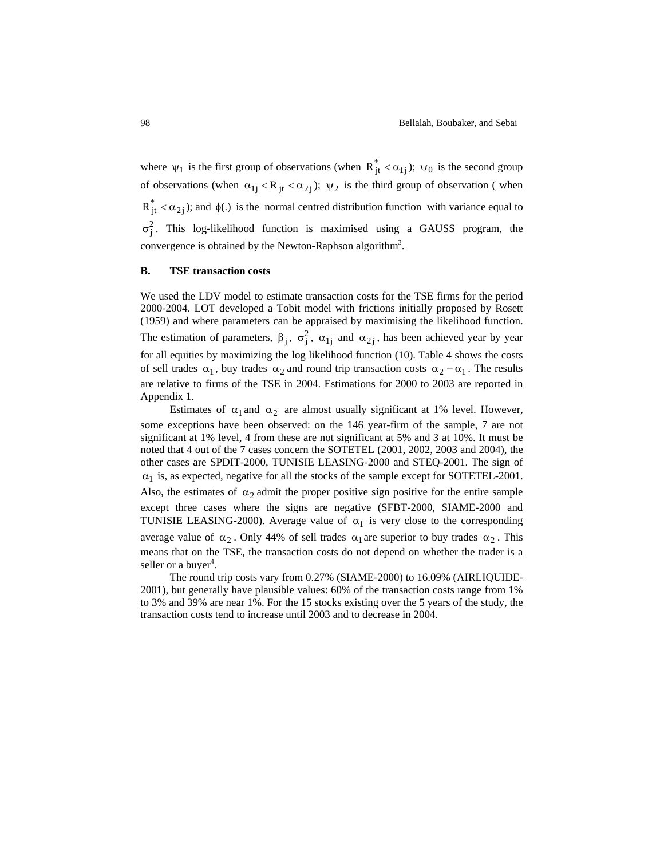where  $\psi_1$  is the first group of observations (when  $R^*_{it} < \alpha_{1i}$ );  $\psi_0$  is the second group of observations (when  $\alpha_{1i} < R_{it} < \alpha_{2i}$ );  $\psi_2$  is the third group of observation (when  $R_{jt}^{*} < \alpha_{2j}$ ); and  $\phi(.)$  is the normal centred distribution function with variance equal to  $\sigma_j^2$ . This log-likelihood function is maximised using a GAUSS program, the convergence is obtained by the Newton-Raphson algorithm<sup>3</sup>.

#### **S B. T E transaction costs**

We used the LDV model to estimate transaction costs for the TSE firms for the period 2000-2004. LOT developed a Tobit model with frictions initially proposed by Rosett (1959) an d where parameters can be appraised by maximising the likelihood function. The estimation of parameters,  $\beta_j$ ,  $\sigma_j^2$ ,  $\alpha_{1j}$  and  $\alpha_{2j}$ , has been achieved year by year for all equities by maximizing the log likelihood function (10). Table 4 shows the costs of sell trades  $\alpha_1$ , buy trades  $\alpha_2$  and round trip transaction costs  $\alpha_2 - \alpha_1$ . The results are relative to firms of the TSE in 2004. Estimations for 2000 to 2003 are reported in Appendix 1.

noted that 4 out of the 7 cases concern the SOTETEL (2001, 2002, 2003 and 2004), the except three cases where the signs are negative (SFBT-2000, SIAME-2000 and TUNISIE LEASING-2000). Average value of  $\alpha_1$  is very close to the corresponding Estimates of  $\alpha_1$  and  $\alpha_2$  are almost usually significant at 1% level. However, some exceptions have been observed: on the 146 year-firm of the sample, 7 are not significant at 1% level, 4 from these are not significant at 5% and 3 at 10%. It must be other cases are SPDIT-2000, TUNISIE LEASING-2000 and STEQ-2001. The sign of  $\alpha_1$  is, as expected, negative for all the stocks of the sample except for SOTETEL-2001. Also, the estimates of  $\alpha_2$  admit the proper positive sign positive for the entire sample average value of  $\alpha_2$ . Only 44% of sell trades  $\alpha_1$  are superior to buy trades  $\alpha_2$ . This means that on the TSE, the transaction costs do not depend on whether the trader is a seller or a buyer<sup>4</sup>.

The round trip costs vary from 0.27% (SIAME-2000) to 16.09% (AIRLIQUIDE-2001), but generally have plausible values: 60% of the transaction costs range from 1% to 3% and 39% are near  $1\%$ . For the 15 stocks existing over the 5 years of the study, the transaction costs tend to increase until 2003 and to decrease in 2004.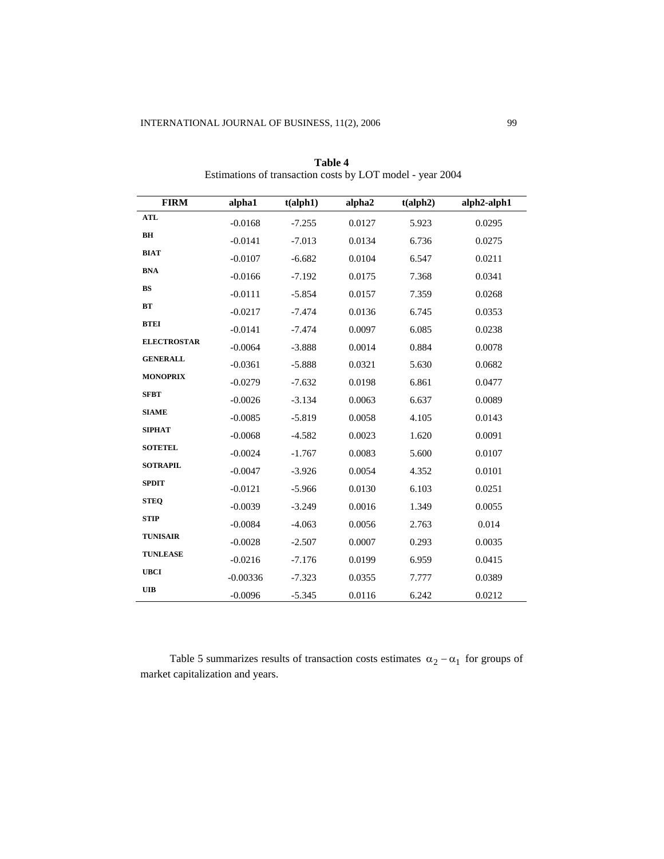| <b>FIRM</b>        | alpha1     | t(alpha1ph1) | alpha2 | t(alpha) | alph2-alph1 |
|--------------------|------------|--------------|--------|----------|-------------|
| ATL                | $-0.0168$  | $-7.255$     | 0.0127 | 5.923    | 0.0295      |
| BH                 | $-0.0141$  | $-7.013$     | 0.0134 | 6.736    | 0.0275      |
| <b>BIAT</b>        | $-0.0107$  | $-6.682$     | 0.0104 | 6.547    | 0.0211      |
| <b>BNA</b>         | $-0.0166$  | $-7.192$     | 0.0175 | 7.368    | 0.0341      |
| <b>BS</b>          | $-0.0111$  | $-5.854$     | 0.0157 | 7.359    | 0.0268      |
| <b>BT</b>          | $-0.0217$  | $-7.474$     | 0.0136 | 6.745    | 0.0353      |
| <b>BTEI</b>        | $-0.0141$  | $-7.474$     | 0.0097 | 6.085    | 0.0238      |
| <b>ELECTROSTAR</b> | $-0.0064$  | $-3.888$     | 0.0014 | 0.884    | 0.0078      |
| <b>GENERALL</b>    | $-0.0361$  | $-5.888$     | 0.0321 | 5.630    | 0.0682      |
| <b>MONOPRIX</b>    | $-0.0279$  | $-7.632$     | 0.0198 | 6.861    | 0.0477      |
| <b>SFBT</b>        | $-0.0026$  | $-3.134$     | 0.0063 | 6.637    | 0.0089      |
| <b>SIAME</b>       | $-0.0085$  | $-5.819$     | 0.0058 | 4.105    | 0.0143      |
| <b>SIPHAT</b>      | $-0.0068$  | $-4.582$     | 0.0023 | 1.620    | 0.0091      |
| <b>SOTETEL</b>     | $-0.0024$  | $-1.767$     | 0.0083 | 5.600    | 0.0107      |
| <b>SOTRAPIL</b>    | $-0.0047$  | $-3.926$     | 0.0054 | 4.352    | 0.0101      |
| <b>SPDIT</b>       | $-0.0121$  | $-5.966$     | 0.0130 | 6.103    | 0.0251      |
| <b>STEO</b>        | $-0.0039$  | $-3.249$     | 0.0016 | 1.349    | 0.0055      |
| <b>STIP</b>        | $-0.0084$  | $-4.063$     | 0.0056 | 2.763    | 0.014       |
| <b>TUNISAIR</b>    | $-0.0028$  | $-2.507$     | 0.0007 | 0.293    | 0.0035      |
| <b>TUNLEASE</b>    | $-0.0216$  | $-7.176$     | 0.0199 | 6.959    | 0.0415      |
| <b>UBCI</b>        | $-0.00336$ | $-7.323$     | 0.0355 | 7.777    | 0.0389      |
| <b>UIB</b>         | $-0.0096$  | $-5.345$     | 0.0116 | 6.242    | 0.0212      |

**Table 4** Estimations of transaction costs by LOT model - year 2004

Table 5 summarizes results of transaction costs estimates  $\alpha_2 - \alpha_1$  for groups of market capitalization and years.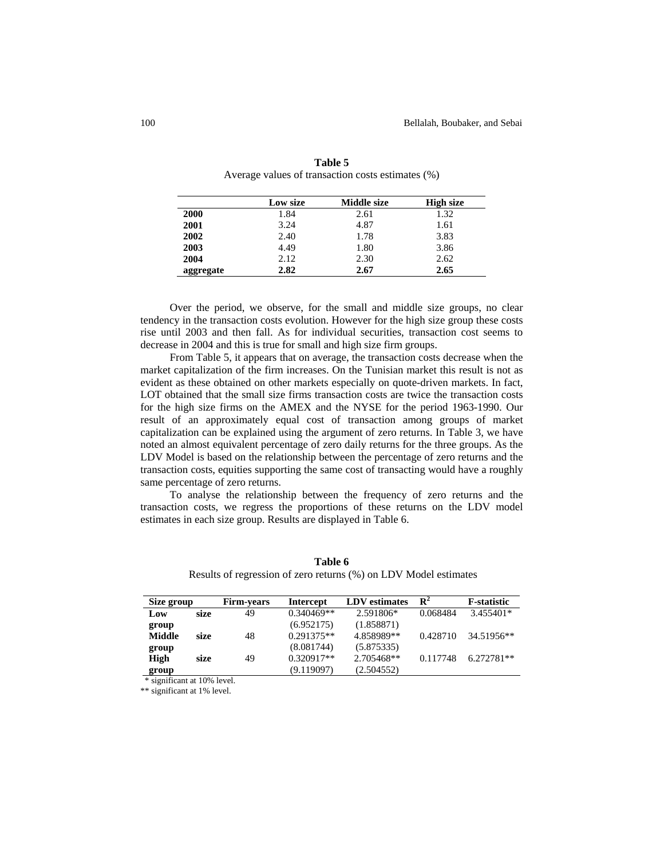|           | Low size | Middle size | High size |  |
|-----------|----------|-------------|-----------|--|
| 2000      | 1.84     | 2.61        | 1.32      |  |
| 2001      | 3.24     | 4.87        | 1.61      |  |
| 2002      | 2.40     | 1.78        | 3.83      |  |
| 2003      | 4.49     | 1.80        | 3.86      |  |
| 2004      | 2.12     | 2.30        | 2.62      |  |
| aggregate | 2.82     | 2.67        | 2.65      |  |

Table 5 Average values of transaction costs estimates (%)

Over the period, we observe, for the small and middle size groups, no clear tendency in the transaction costs evolution. However for the high size group these costs rise until 2003 and then fall. As for individual securities, transaction cost seems to decrease in 2004 and this is true for small and high size firm groups.

From Table 5, it appears that on average, the transaction costs decrease when the market capitalization of the firm increases. On the Tunisian market this result is not as evident as these obtained on other markets especially on quote-driven markets. In fact, LOT obtained that the small size firms transaction costs are twice the transaction costs for the high size firms on the AMEX and the NYSE for the period 1963-1990. Our result of an approximately equal cost of transaction among groups of market capitalization can be explained using the argument of zero returns. In Table 3, we have noted an almost equivalent percentage of zero daily returns for the three groups. As the LDV Model is based on the relationship between the percentage of zero returns and the transaction costs, equities supporting the same cost of transacting would have a roughly same percentage of zero returns.

To analyse the relationship between the frequency of zero returns and the transaction costs, we regress the proportions of these returns on the LDV model estimates in each size group. Results are displayed in Table 6.

| Size group            | <b>Firm-years</b> | <b>Intercept</b> | <b>LDV</b> estimates | $\mathbf{R}^2$ | <b>F</b> -statistic |
|-----------------------|-------------------|------------------|----------------------|----------------|---------------------|
| Low<br>size           | 49                | $0.340469**$     | 2.591806*            | 0.068484       | 3.455401*           |
| group                 |                   | (6.952175)       | (1.858871)           |                |                     |
| <b>Middle</b><br>size | 48                | $0.291375**$     | 4.858989**           | 0.428710       | 34.51956**          |
| group                 |                   | (8.081744)       | (5.875335)           |                |                     |
| High<br>size          | 49                | $0.320917**$     | 2.705468**           | 0.117748       | $6.272781**$        |
| group                 |                   | (9.119097)       | (2.504552)           |                |                     |

Table 6 Results of regression of zero returns (%) on LDV Model estimates

\* significant at 10% level.

\*\* significant at 1% level.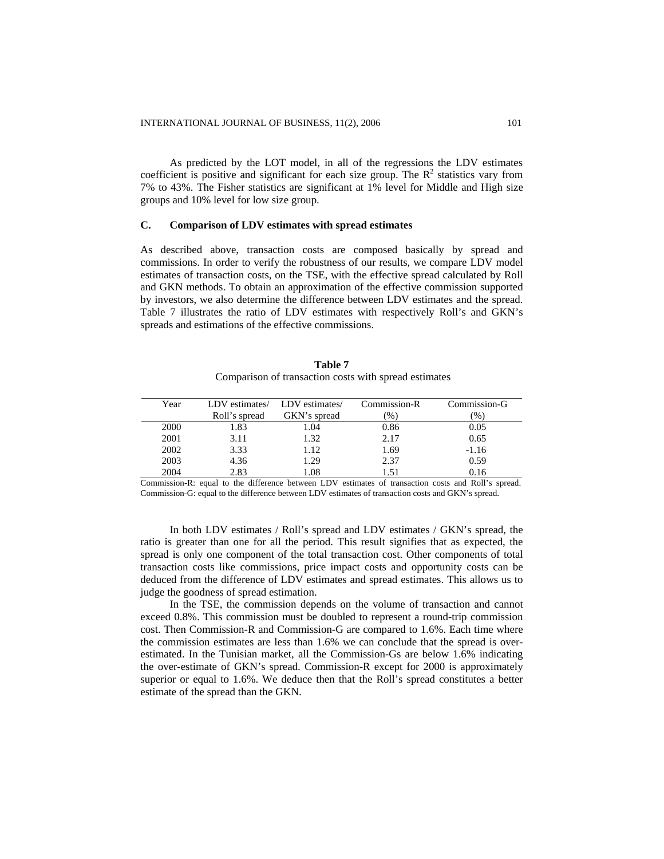As predicted by the LOT model, in all of the regressions the LDV estimates coefficient is positive and significant for each size group. The  $R<sup>2</sup>$  statistics vary from 7% to 43%. The Fisher statistics are significant at 1% level for Middle and High size groups and 10% level for low size group.

#### $\mathbf{C}$ . **Comparison of LDV estimates with spread estimates**

As described above, transaction costs are composed basically by spread and commissions. In order to verify the robustness of our results, we compare LDV model estimates of transaction costs, on the TSE, with the effective spread calculated by Roll and GKN methods. To obtain an approximation of the effective commission supported by investors, we also determine the difference between LDV estimates and the spread. Table 7 illustrates the ratio of LDV estimates with respectively Roll's and GKN's spreads and estimations of the effective commissions.

| Table 7                                               |  |  |
|-------------------------------------------------------|--|--|
| Comparison of transaction costs with spread estimates |  |  |

| Year | LDV estimates/ LDV estimates/ |              | Commission-R  | Commission-G |
|------|-------------------------------|--------------|---------------|--------------|
|      | Roll's spread                 | GKN's spread | $\frac{9}{6}$ | $\%$         |
| 2000 | 1.83                          | 1.04         | 0.86          | 0.05         |
| 2001 | 3.11                          | 1.32         | 2.17          | 0.65         |
| 2002 | 3.33                          | 1.12         | 1.69          | $-1.16$      |
| 2003 | 4.36                          | 1.29         | 2.37          | 0.59         |
| 2004 | 2.83                          | 0.08         | 1.51          | 0.16         |
|      |                               |              |               |              |

Commission-R: equal to the difference between LDV estimates of transaction costs and Roll's spread. Commission-G: equal to the difference between LDV estimates of transaction costs and GKN's spread.

In both LDV estimates / Roll's spread and LDV estimates / GKN's spread, the ratio is greater than one for all the period. This result signifies that as expected, the spread is only one component of the total transaction cost. Other components of total transaction costs like commissions, price impact costs and opportunity costs can be deduced from the difference of LDV estimates and spread estimates. This allows us to judge the goodness of spread estimation.

In the TSE, the commission depends on the volume of transaction and cannot exceed 0.8%. This commission must be doubled to represent a round-trip commission cost. Then Commission-R and Commission-G are compared to 1.6%. Each time where the commission estimates are less than 1.6% we can conclude that the spread is overestimated. In the Tunisian market, all the Commission-Gs are below 1.6% indicating the over-estimate of GKN's spread. Commission-R except for 2000 is approximately superior or equal to 1.6%. We deduce then that the Roll's spread constitutes a better estimate of the spread than the GKN.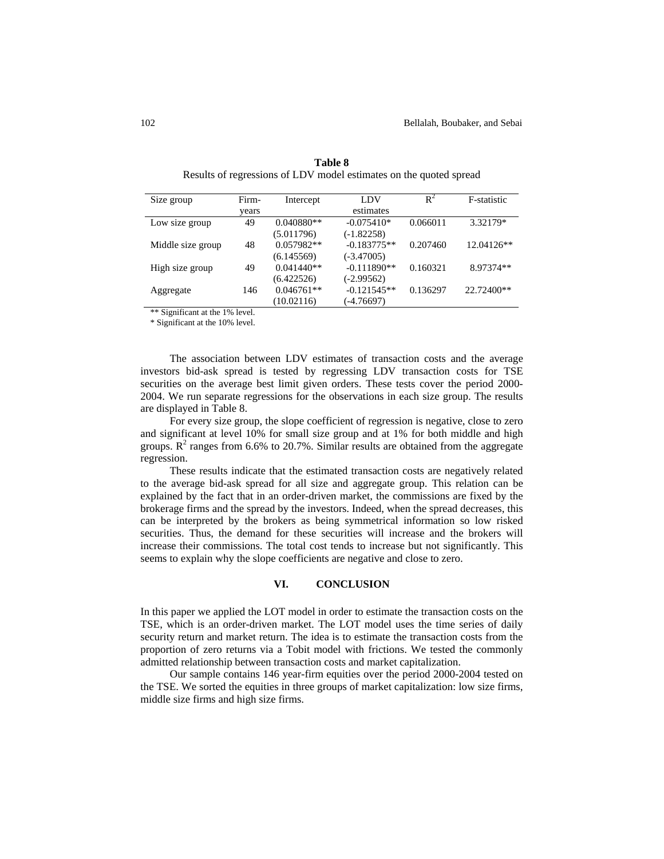| Size group        | Firm- | Intercept    | LDV           | $R^2$    | F-statistic  |
|-------------------|-------|--------------|---------------|----------|--------------|
|                   | vears |              | estimates     |          |              |
| Low size group    | 49    | $0.040880**$ | $-0.075410*$  | 0.066011 | 3.32179*     |
|                   |       | (5.011796)   | $(-1.82258)$  |          |              |
| Middle size group | 48    | $0.057982**$ | $-0.183775**$ | 0.207460 | $12.04126**$ |
|                   |       | (6.145569)   | $(-3.47005)$  |          |              |
| High size group   | 49    | $0.041440**$ | $-0.111890**$ | 0.160321 | 8.97374**    |
|                   |       | (6.422526)   | $(-2.99562)$  |          |              |
| Aggregate         | 146   | $0.046761**$ | $-0.121545**$ | 0.136297 | 22.72400**   |
|                   |       | (10.02116)   | (-4.76697)    |          |              |

**Table 8** Results of regressions of LDV model estimates on the quoted spread

\*\* Significant at the 1% level.

\* Significant at th e 10% level.

The association between LDV estimates of transaction costs and the average investors bid-ask spread is tested by regressing LDV transaction costs for TSE securities on the average best limit given orders. These tests cover the period 2000-2004. We run separate regressions for the observations in each size group. The results are displayed in Table 8.

For every size group, the slope coefficient of regression is negative, close to zero groups.  $R^2$  ranges from 6.6% to 20.7%. Similar results are obtained from the aggregate regression. and significant at level 10% for small size group and at 1% for both middle and high

These results indicate that the estimated transaction costs are negatively related to the average bid-ask spread for all size and aggregate group. This relation can be explained by the fact that in an order-driven market, the commissions are fixed by the brokerage firms and the spread by the investors. Indeed, when the spread decreases, this can be interpreted by the brokers as being symmetrical information so low risked securities. Thus, the demand for these securities will increase and the brokers will increase their commissions. The total cost tends to increase but not significantly. This seems to explain why the slope coefficients are negative and close to zero.

#### **VI. CONCLUSION**

proportion of zero returns via a Tobit model with frictions. We tested the commonly admitted relationship between transaction costs and market capitalization. In this paper we applied the LOT model in order to estimate the transaction costs on the TSE, which is an order-driven market. The LOT model uses the time series of daily security return and market return. The idea is to estimate the transaction costs from the

Our sample contains 146 year-firm equities over the period 2000-2004 tested on the TSE. We sorted the equities in three groups of market capitalization: low size firms, middle size firms and high size firms.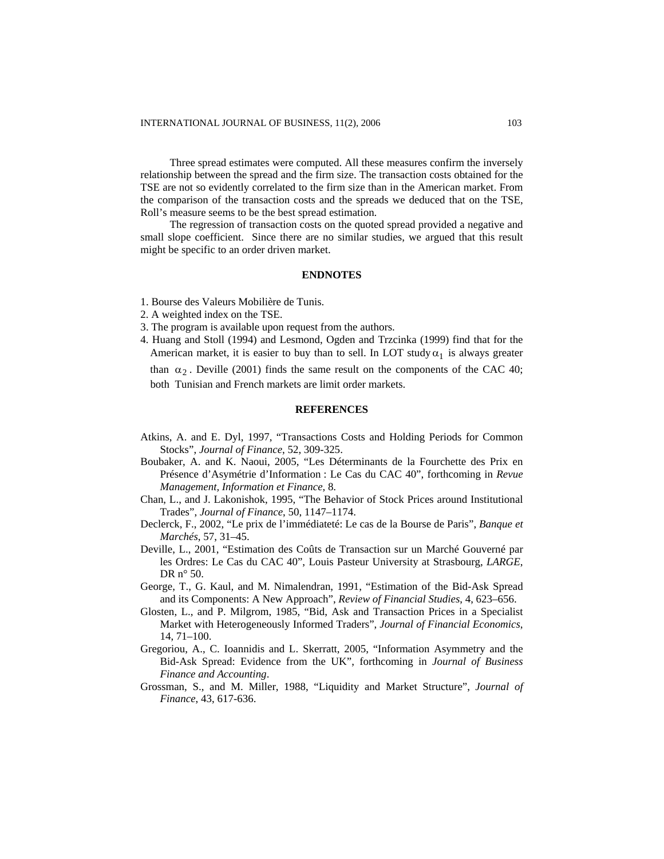Three spread estimates were computed. All these measures confirm the inversely relationship between the spread and the firm size. The transaction costs obtained for the TSE are not so evidently correlated to the firm size than in the American market. From the comparison of the transaction costs and the spreads we deduced that on the TSE, Roll's measure seems to be the best spread estim ation.

The regression of transaction costs on the quoted spread provided a negative and small slope coefficient. Since there are no similar studies, we argued that this result might be specific to an order driven market.

#### **ENDNOTES**

- 1. Bourse des Valeurs Mobilière de Tunis.
- 2. A weighted index on the TSE.
- 3. The program is available upon request from the authors.
- . Huang and Stoll (1994) and Lesmond, Ogden and Trzcinka (1999) find that for the 4 American market, it is easier to buy than to sell. In LOT study  $\alpha_1$  is always greater than  $\alpha_2$ . Deville (2001) finds the same result on the components of the CAC 40; both Tunisian and French markets are limit order markets.

#### **REFERENCES**

- Atkins, A. and E. Dyl, 1997, "Transactions Costs and Holding Periods for Common Stocks", *Journal of Finance*, 52, 309-325.
- Boubaker, A. and K. Naoui, 2005, "Les Déterminants de la Fourchette des Prix en Présence d'Asymétrie d'Information : Le Cas du CAC 40", forthcoming in *Revue Management, Information et Finance*, 8.
- Chan, L., and J. Lakonishok, 1995, "The Behavior of Stock Prices around Institutional Trades", *Journal of Finance*, 50, 1147–1174.
- Declerck, F., 2002, "Le prix de l'immédiateté: Le cas de la Bourse de Paris", *Banque et Marchés*, 57, 31–45.
- les Ordres: Le Cas du CAC 40", Louis Pasteur University at Strasbourg, LARGE, DR n° 50. Deville, L., 2001, "Estimation des Coûts de Transaction sur un Marché Gouverné par
- George, T., G. Kaul, and M. Nimalendran, 1991, "Estimation of the Bid-Ask Spread and its Components: A New Approach", *Review of Financial Studies*, 4, 623–656.
- Glosten, L., and P. Milgrom, 1985, "Bid, Ask and Transaction Prices in a Specialist Market with Heterogeneously Informed Traders", *Journal of Financial Economics*, 14, 71–100.
- Bid-Ask Spread: Evidence from the UK", forthcoming in *Journal of Business F inance and Accounting*. Gregoriou, A., C. Ioannidis and L. Skerratt, 2005, "Information Asymmetry and the
- Grossman, S., and M. Miller, 1988, "Liquidity and Market Structure", *Journal of Finance*, 43, 617-636.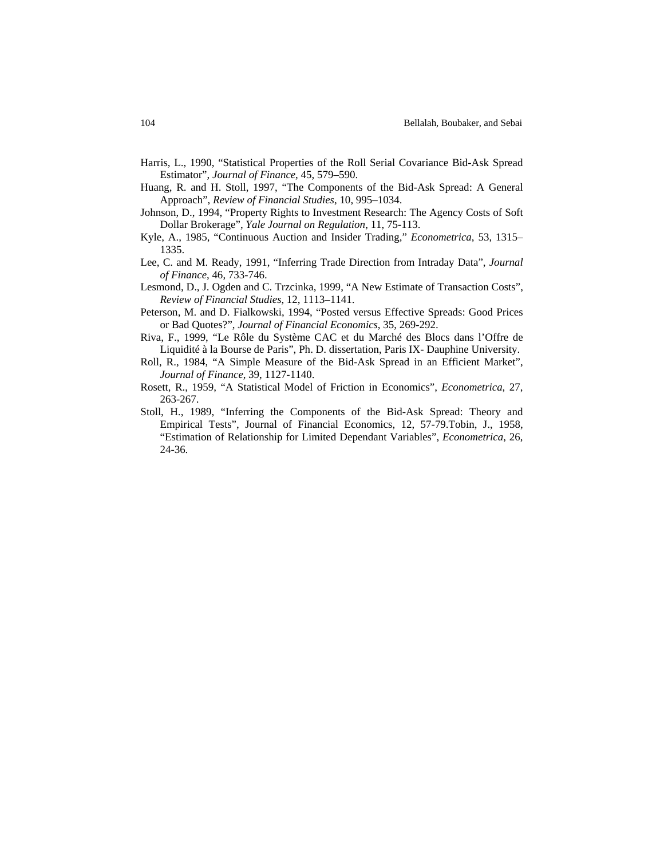- Harris , L., 1990, "Statistical Properties of the Roll Serial Covariance Bid-Ask Spread Estimator", *Journal of Finance*, 45, 579–590.
- Huang, R. and H. Stoll, 1997, "The Components of the Bid-Ask Spread: A General Approach", *Review of Financial Studies*, 10, 995–1034.
- Johnson, D., 1994, "Property Rights to Investment Research: The Agency Costs of Soft D ollar Brokerage", *Yale Journal on Regulation*, 11, 75-113.
- Kyle, A., 1985, "Continuous Auction and Insider Trading," *Econometrica*, 53, 1315– 1335.
- Lee, C. and M. Ready, 1991, "Inferring Trade Direction from Intraday Data", *Journal of Finance*, 46, 733-746.
- Lesmond, D., J. Ogden and C. Trzcinka, 1999, "A New Estimate of Transaction Costs", 1141. *Review of Financial Studies*, 12, 1113–
- Peterson, M. and D. Fialkowski, 1994, "Posted versus Effective Spreads: Good Prices or Bad Quotes?", *Journal of Financial Economics*, 35, 269-292.
- Liquidité à la Bourse de Paris", Ph. D. dissertation, Paris IX- Dauphine University. Riva, F., 1999, "Le Rôle du Système CAC et du Marché des Blocs dans l'Offre de
- R oll, R., 1984, "A Simple Measure of the Bid-Ask Spread in an Efficient Market", *Journal of Finance*, 39, 1127-1140.
- Rosett, R., 1959, "A Statistical Model of Friction in Economics", *Econometrica*, 27, 263-267.
- Stoll, H., 1989, "Inferring the Components of the Bid-Ask Spread: Theory and Empirical Tests", Journal of Financial Economics, 12, 57-79.Tobin, J., 1958, "Estimation of Relationship for Limited Dependant Variables", *Econometrica*, 26, 24-36.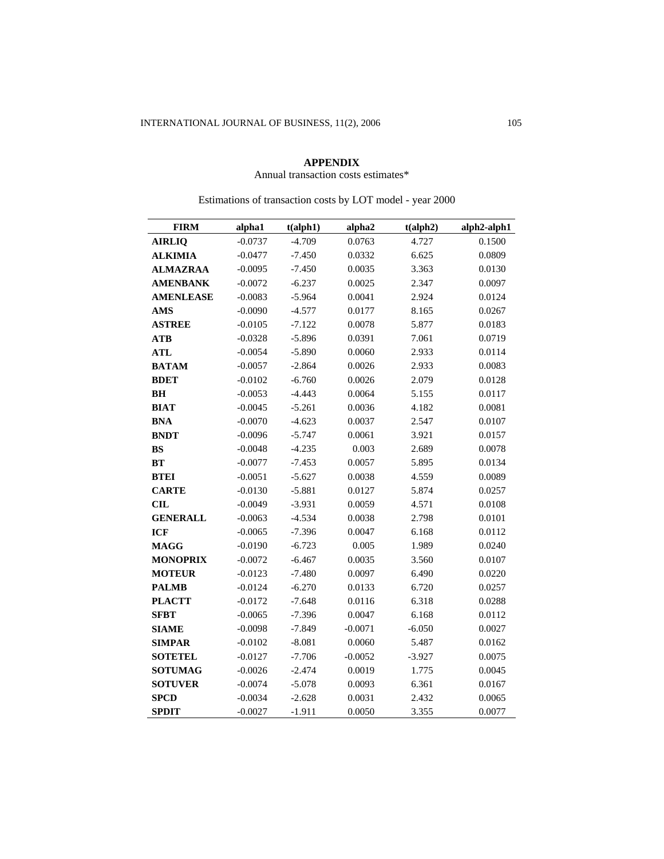### **APPENDIX**

## Annual transaction costs estimates\*

| <b>FIRM</b>      | alpha1    | t(alpha1ph1) | alpha2    | t(alpha) | alph2-alph1 |
|------------------|-----------|--------------|-----------|----------|-------------|
| <b>AIRLIQ</b>    | $-0.0737$ | $-4.709$     | 0.0763    | 4.727    | 0.1500      |
| <b>ALKIMIA</b>   | $-0.0477$ | $-7.450$     | 0.0332    | 6.625    | 0.0809      |
| <b>ALMAZRAA</b>  | $-0.0095$ | $-7.450$     | 0.0035    | 3.363    | 0.0130      |
| <b>AMENBANK</b>  | $-0.0072$ | $-6.237$     | 0.0025    | 2.347    | 0.0097      |
| <b>AMENLEASE</b> | $-0.0083$ | $-5.964$     | 0.0041    | 2.924    | 0.0124      |
| <b>AMS</b>       | $-0.0090$ | $-4.577$     | 0.0177    | 8.165    | 0.0267      |
| <b>ASTREE</b>    | $-0.0105$ | $-7.122$     | 0.0078    | 5.877    | 0.0183      |
| <b>ATB</b>       | $-0.0328$ | $-5.896$     | 0.0391    | 7.061    | 0.0719      |
| <b>ATL</b>       | $-0.0054$ | $-5.890$     | 0.0060    | 2.933    | 0.0114      |
| <b>BATAM</b>     | $-0.0057$ | $-2.864$     | 0.0026    | 2.933    | 0.0083      |
| <b>BDET</b>      | $-0.0102$ | $-6.760$     | 0.0026    | 2.079    | 0.0128      |
| <b>BH</b>        | $-0.0053$ | $-4.443$     | 0.0064    | 5.155    | 0.0117      |
| <b>BIAT</b>      | $-0.0045$ | $-5.261$     | 0.0036    | 4.182    | 0.0081      |
| <b>BNA</b>       | $-0.0070$ | $-4.623$     | 0.0037    | 2.547    | 0.0107      |
| <b>BNDT</b>      | $-0.0096$ | $-5.747$     | 0.0061    | 3.921    | 0.0157      |
| ${\bf BS}$       | $-0.0048$ | $-4.235$     | 0.003     | 2.689    | 0.0078      |
| <b>BT</b>        | $-0.0077$ | $-7.453$     | 0.0057    | 5.895    | 0.0134      |
| <b>BTEI</b>      | $-0.0051$ | $-5.627$     | 0.0038    | 4.559    | 0.0089      |
| <b>CARTE</b>     | $-0.0130$ | $-5.881$     | 0.0127    | 5.874    | 0.0257      |
| <b>CIL</b>       | $-0.0049$ | $-3.931$     | 0.0059    | 4.571    | 0.0108      |
| <b>GENERALL</b>  | $-0.0063$ | $-4.534$     | 0.0038    | 2.798    | 0.0101      |
| <b>ICF</b>       | $-0.0065$ | $-7.396$     | 0.0047    | 6.168    | 0.0112      |
| <b>MAGG</b>      | $-0.0190$ | $-6.723$     | 0.005     | 1.989    | 0.0240      |
| <b>MONOPRIX</b>  | $-0.0072$ | $-6.467$     | 0.0035    | 3.560    | 0.0107      |
| <b>MOTEUR</b>    | $-0.0123$ | $-7.480$     | 0.0097    | 6.490    | 0.0220      |
| <b>PALMB</b>     | $-0.0124$ | $-6.270$     | 0.0133    | 6.720    | 0.0257      |
| <b>PLACTT</b>    | $-0.0172$ | $-7.648$     | 0.0116    | 6.318    | 0.0288      |
| <b>SFBT</b>      | $-0.0065$ | $-7.396$     | 0.0047    | 6.168    | 0.0112      |
| <b>SIAME</b>     | $-0.0098$ | $-7.849$     | $-0.0071$ | $-6.050$ | 0.0027      |
| <b>SIMPAR</b>    | $-0.0102$ | $-8.081$     | 0.0060    | 5.487    | 0.0162      |
| <b>SOTETEL</b>   | $-0.0127$ | $-7.706$     | $-0.0052$ | $-3.927$ | 0.0075      |
| <b>SOTUMAG</b>   | $-0.0026$ | $-2.474$     | 0.0019    | 1.775    | 0.0045      |
| <b>SOTUVER</b>   | $-0.0074$ | $-5.078$     | 0.0093    | 6.361    | 0.0167      |
| <b>SPCD</b>      | $-0.0034$ | $-2.628$     | 0.0031    | 2.432    | 0.0065      |
| <b>SPDIT</b>     | $-0.0027$ | $-1.911$     | 0.0050    | 3.355    | 0.0077      |

Estimations of transaction costs by LOT model - year 2000